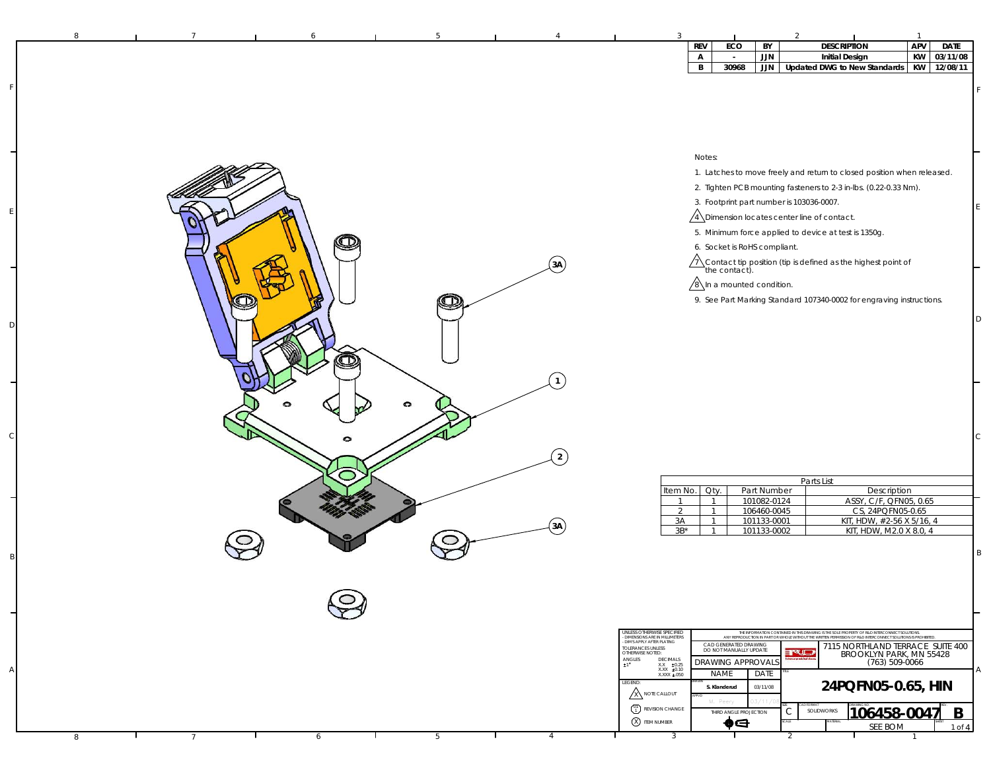| 8 |                 |   |   |                | 3<br>$\mathbf{1}$                                                                                                                                                                                                                                                                                                                                                                                                  |
|---|-----------------|---|---|----------------|--------------------------------------------------------------------------------------------------------------------------------------------------------------------------------------------------------------------------------------------------------------------------------------------------------------------------------------------------------------------------------------------------------------------|
|   |                 |   |   |                | APV<br><b>DESCRIPTION</b><br><b>DATE</b><br>REV<br>ECO<br>BY<br>03/11/08<br><b>Initial Design</b><br>KW<br>Α<br>JJN<br>$\sim$                                                                                                                                                                                                                                                                                      |
|   |                 |   |   |                | 30968<br>JJN Updated DWG to New Standards<br>KW 12/08/11<br>B                                                                                                                                                                                                                                                                                                                                                      |
|   |                 |   |   |                |                                                                                                                                                                                                                                                                                                                                                                                                                    |
|   |                 |   |   |                |                                                                                                                                                                                                                                                                                                                                                                                                                    |
|   |                 |   |   |                |                                                                                                                                                                                                                                                                                                                                                                                                                    |
|   |                 |   |   |                |                                                                                                                                                                                                                                                                                                                                                                                                                    |
|   |                 |   |   |                | Notes:<br>1. Latches to move freely and return to closed position when released.                                                                                                                                                                                                                                                                                                                                   |
|   |                 |   |   |                | 2. Tighten PCB mounting fasteners to 2-3 in-lbs. (0.22-0.33 Nm).                                                                                                                                                                                                                                                                                                                                                   |
|   |                 |   |   |                | 3. Footprint part number is 103036-0007.                                                                                                                                                                                                                                                                                                                                                                           |
|   |                 |   |   |                | $\sqrt{4}$ Dimension locates center line of contact.                                                                                                                                                                                                                                                                                                                                                               |
|   |                 |   |   |                | 5. Minimum force applied to device at test is 1350g.<br>6. Socket is RoHS compliant.                                                                                                                                                                                                                                                                                                                               |
|   |                 |   |   | 3A             | A Contact tip position (tip is defined as the highest point of the contact).                                                                                                                                                                                                                                                                                                                                       |
|   |                 |   |   |                | $\sqrt{8}$ In a mounted condition.                                                                                                                                                                                                                                                                                                                                                                                 |
|   |                 |   | œ |                | 9. See Part Marking Standard 107340-0002 for engraving instructions.                                                                                                                                                                                                                                                                                                                                               |
|   |                 |   |   |                | D                                                                                                                                                                                                                                                                                                                                                                                                                  |
|   |                 |   |   |                |                                                                                                                                                                                                                                                                                                                                                                                                                    |
|   |                 |   |   |                |                                                                                                                                                                                                                                                                                                                                                                                                                    |
|   |                 |   |   |                |                                                                                                                                                                                                                                                                                                                                                                                                                    |
|   |                 |   |   |                |                                                                                                                                                                                                                                                                                                                                                                                                                    |
|   |                 |   | 0 |                |                                                                                                                                                                                                                                                                                                                                                                                                                    |
|   |                 |   |   |                | С                                                                                                                                                                                                                                                                                                                                                                                                                  |
|   |                 |   |   | $\overline{2}$ |                                                                                                                                                                                                                                                                                                                                                                                                                    |
|   |                 |   |   |                |                                                                                                                                                                                                                                                                                                                                                                                                                    |
|   |                 |   |   |                | Parts List<br>Item No.<br>Oty.<br>Part Number<br>Description                                                                                                                                                                                                                                                                                                                                                       |
|   |                 |   |   |                | ASSY, C/F, QFN05, 0.65<br>101082-0124<br>$\overline{1}$<br>$\overline{1}$<br>CS, 24PQFN05-0.65<br>2<br>106460-0045<br>$\overline{1}$                                                                                                                                                                                                                                                                               |
|   |                 |   |   | 3A             | 3A<br>101133-0001<br>KIT, HDW, #2-56 X 5/16, 4<br>$\overline{1}$<br>$3B*$<br>KIT, HDW, M2.0 X 8.0, 4<br>101133-0002<br>$\overline{1}$                                                                                                                                                                                                                                                                              |
|   |                 |   |   |                | B                                                                                                                                                                                                                                                                                                                                                                                                                  |
|   |                 |   |   |                |                                                                                                                                                                                                                                                                                                                                                                                                                    |
|   |                 |   |   |                |                                                                                                                                                                                                                                                                                                                                                                                                                    |
|   |                 |   |   |                |                                                                                                                                                                                                                                                                                                                                                                                                                    |
|   |                 |   |   |                |                                                                                                                                                                                                                                                                                                                                                                                                                    |
|   |                 |   |   |                | UNLESS OTHERWISE SPECIFIED<br>THE INFORMATION CONTAINED IN THIS DRAWING IS THE SOLE PROPERTY OF R&D INTERCONNECT SOLUTIONS.<br>- DIMENSIONS ARE IN MILLIMETERS<br>- DIMS APPLY AFTER PLATING<br>ANY REPRODUCTION IN PART OR WHOLE WITHOUT THE WRITTEN PERMISSION OF R&D INTERCONNECT SOLUTIONS IS PROHIBITED<br>CAD GENERATED DRAWING<br>7115 NORTHLAND TERRACE SUITE 400<br>TOLERANCES UNLESS<br>OTHERWISE NOTED: |
|   |                 |   |   |                | DO NOT MANUALLY UPDATE<br>ruj<br>BROOKLYN PARK, MN 55428<br>$\mathop{\hbox{ANGLES}}_{\pm 1}$<br>$\begin{array}{cc} \text{DECIMALS} \\ \text{XX} & \pm0.25 \\ \text{XXX} & \pm0.10 \end{array}$<br>DRAWING APPROVALS<br>(763) 509-0066                                                                                                                                                                              |
|   |                 |   |   |                | $\mathsf{A}$<br><b>NAME</b><br>DATE<br>XXXX ±.050<br>LEGEND:<br>24PQFN05-0.65, HIN<br>03/11/08<br>S. Klanderud                                                                                                                                                                                                                                                                                                     |
|   |                 |   |   |                | <b>X NOTE CALLOUT</b><br>M. Peery<br>3/11<br><sup>01</sup> REVISION CHANGE                                                                                                                                                                                                                                                                                                                                         |
|   |                 |   |   |                | $106458 - 0047$<br>B<br>С<br>SOLIDWORKS<br>THIRD ANGLE PROJECTION<br>X ITEM NUMBER<br>⊕⊖<br>SEE BOM<br>1 of 4                                                                                                                                                                                                                                                                                                      |
| 8 | $7\overline{ }$ | 6 | 5 | 4              | $\overline{3}$<br>2                                                                                                                                                                                                                                                                                                                                                                                                |

F

E

D

C

B

A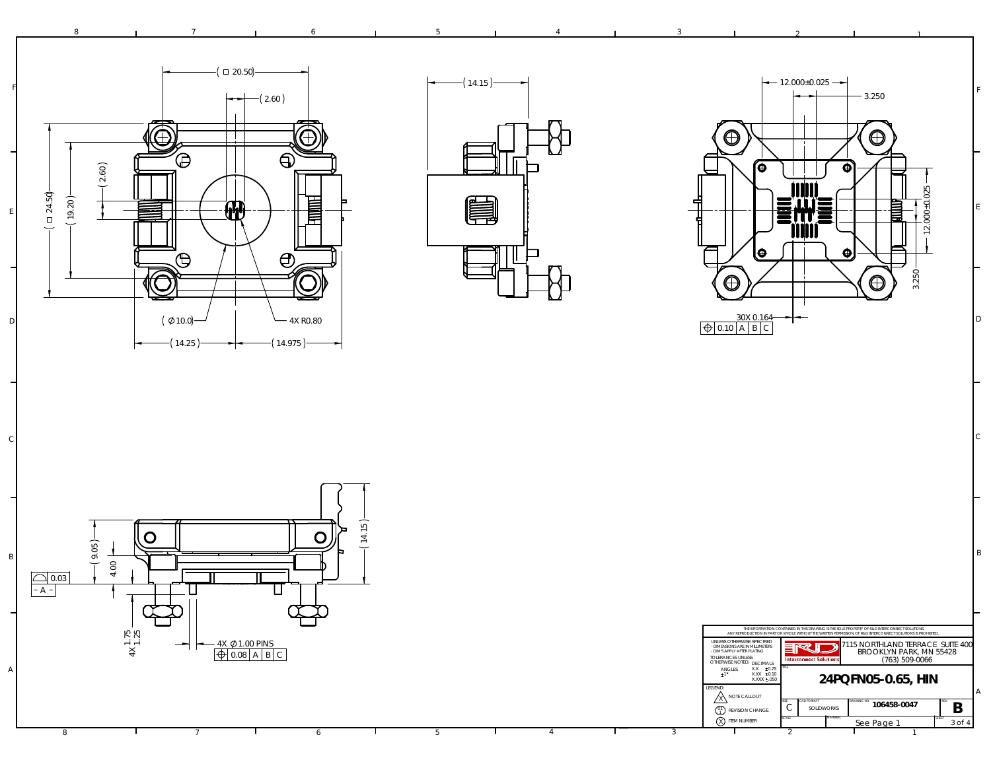





2

1

F

E

D

C

B

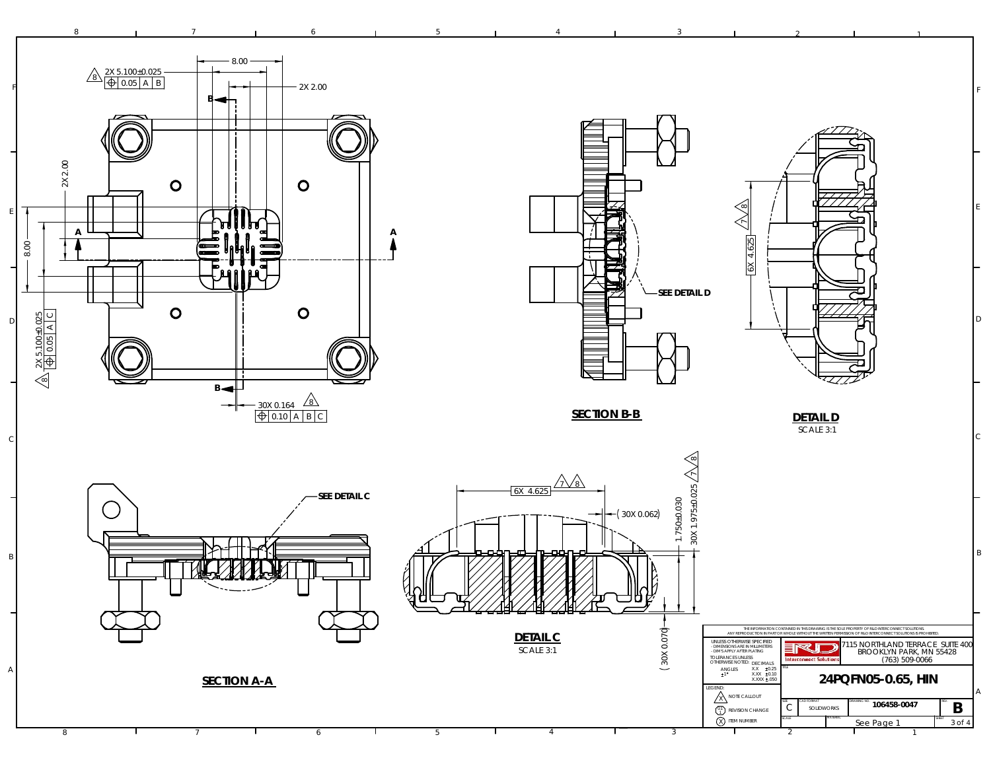